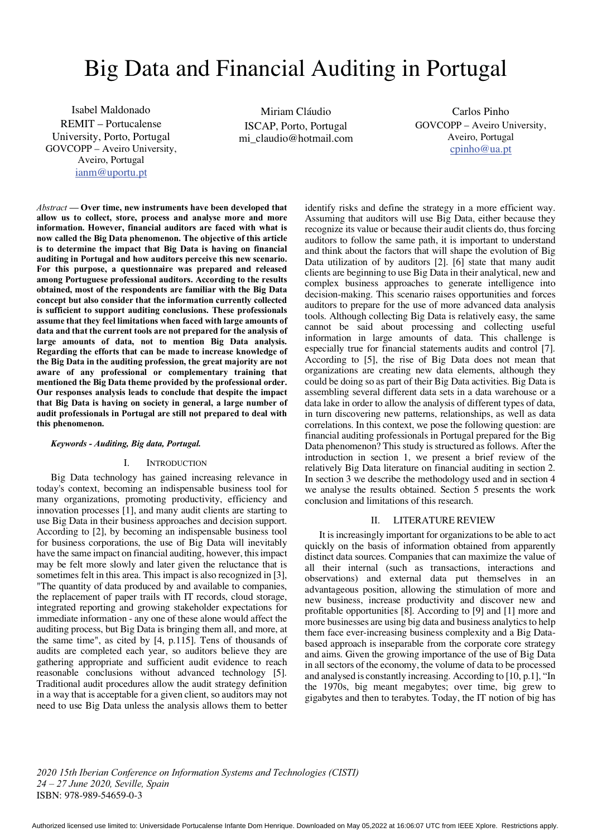# Big Data and Financial Auditing in Portugal

Isabel Maldonado REMIT – Portucalense University, Porto, Portugal GOVCOPP – Aveiro University, Aveiro, Portugal ianm@uportu.pt

Miriam Cláudio ISCAP, Porto, Portugal mi\_claudio@hotmail.com

Carlos Pinho GOVCOPP – Aveiro University, Aveiro, Portugal cpinho@ua.pt

*Abstract* **— Over time, new instruments have been developed that allow us to collect, store, process and analyse more and more information. However, financial auditors are faced with what is now called the Big Data phenomenon. The objective of this article is to determine the impact that Big Data is having on financial auditing in Portugal and how auditors perceive this new scenario. For this purpose, a questionnaire was prepared and released among Portuguese professional auditors. According to the results obtained, most of the respondents are familiar with the Big Data concept but also consider that the information currently collected is sufficient to support auditing conclusions. These professionals assume that they feel limitations when faced with large amounts of data and that the current tools are not prepared for the analysis of large amounts of data, not to mention Big Data analysis. Regarding the efforts that can be made to increase knowledge of the Big Data in the auditing profession, the great majority are not aware of any professional or complementary training that mentioned the Big Data theme provided by the professional order. Our responses analysis leads to conclude that despite the impact that Big Data is having on society in general, a large number of audit professionals in Portugal are still not prepared to deal with this phenomenon.** 

#### *Keywords - Auditing, Big data, Portugal.*

## I. INTRODUCTION

Big Data technology has gained increasing relevance in today's context, becoming an indispensable business tool for many organizations, promoting productivity, efficiency and innovation processes [1], and many audit clients are starting to use Big Data in their business approaches and decision support. According to [2], by becoming an indispensable business tool for business corporations, the use of Big Data will inevitably have the same impact on financial auditing, however, this impact may be felt more slowly and later given the reluctance that is sometimes felt in this area. This impact is also recognized in [3], "The quantity of data produced by and available to companies, the replacement of paper trails with IT records, cloud storage, integrated reporting and growing stakeholder expectations for immediate information - any one of these alone would affect the auditing process, but Big Data is bringing them all, and more, at the same time", as cited by [4, p.115]. Tens of thousands of audits are completed each year, so auditors believe they are gathering appropriate and sufficient audit evidence to reach reasonable conclusions without advanced technology [5]. Traditional audit procedures allow the audit strategy definition in a way that is acceptable for a given client, so auditors may not need to use Big Data unless the analysis allows them to better

identify risks and define the strategy in a more efficient way. Assuming that auditors will use Big Data, either because they recognize its value or because their audit clients do, thus forcing auditors to follow the same path, it is important to understand and think about the factors that will shape the evolution of Big Data utilization of by auditors [2]. [6] state that many audit clients are beginning to use Big Data in their analytical, new and complex business approaches to generate intelligence into decision-making. This scenario raises opportunities and forces auditors to prepare for the use of more advanced data analysis tools. Although collecting Big Data is relatively easy, the same cannot be said about processing and collecting useful information in large amounts of data. This challenge is especially true for financial statements audits and control [7]. According to [5], the rise of Big Data does not mean that organizations are creating new data elements, although they could be doing so as part of their Big Data activities. Big Data is assembling several different data sets in a data warehouse or a data lake in order to allow the analysis of different types of data, in turn discovering new patterns, relationships, as well as data correlations. In this context, we pose the following question: are financial auditing professionals in Portugal prepared for the Big Data phenomenon? This study is structured as follows. After the introduction in section 1, we present a brief review of the relatively Big Data literature on financial auditing in section 2. In section 3 we describe the methodology used and in section 4 we analyse the results obtained. Section 5 presents the work conclusion and limitations of this research.

#### II. LITERATURE REVIEW

It is increasingly important for organizations to be able to act quickly on the basis of information obtained from apparently distinct data sources. Companies that can maximize the value of all their internal (such as transactions, interactions and observations) and external data put themselves in an advantageous position, allowing the stimulation of more and new business, increase productivity and discover new and profitable opportunities [8]. According to [9] and [1] more and more businesses are using big data and business analytics to help them face ever-increasing business complexity and a Big Databased approach is inseparable from the corporate core strategy and aims. Given the growing importance of the use of Big Data in all sectors of the economy, the volume of data to be processed and analysed is constantly increasing. According to [10, p.1], "In the 1970s, big meant megabytes; over time, big grew to gigabytes and then to terabytes. Today, the IT notion of big has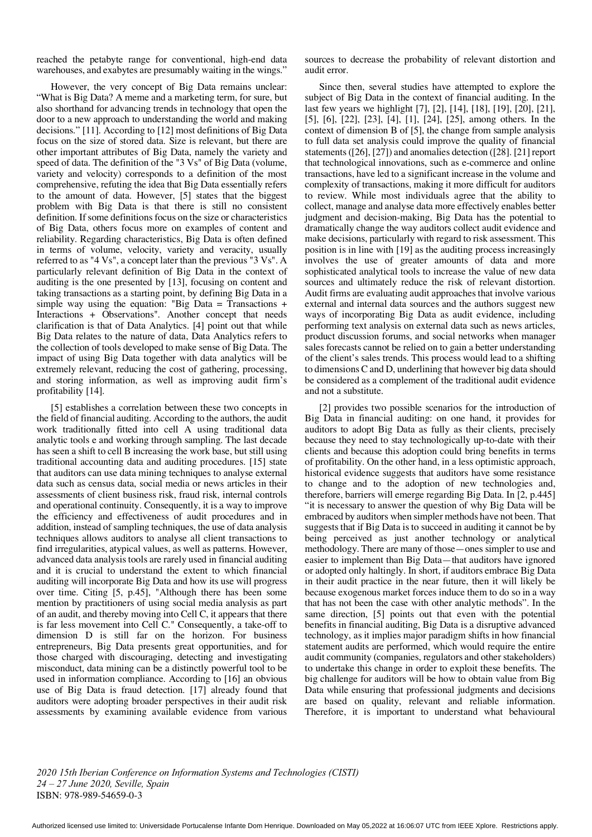reached the petabyte range for conventional, high-end data warehouses, and exabytes are presumably waiting in the wings."

However, the very concept of Big Data remains unclear: "What is Big Data? A meme and a marketing term, for sure, but also shorthand for advancing trends in technology that open the door to a new approach to understanding the world and making decisions." [11]. According to [12] most definitions of Big Data focus on the size of stored data. Size is relevant, but there are other important attributes of Big Data, namely the variety and speed of data. The definition of the "3 Vs" of Big Data (volume, variety and velocity) corresponds to a definition of the most comprehensive, refuting the idea that Big Data essentially refers to the amount of data. However, [5] states that the biggest problem with Big Data is that there is still no consistent definition. If some definitions focus on the size or characteristics of Big Data, others focus more on examples of content and reliability. Regarding characteristics, Big Data is often defined in terms of volume, velocity, variety and veracity, usually referred to as "4 Vs", a concept later than the previous "3 Vs". A particularly relevant definition of Big Data in the context of auditing is the one presented by [13], focusing on content and taking transactions as a starting point, by defining Big Data in a simple way using the equation: "Big Data  $=$  Transactions  $+$ Interactions + Observations". Another concept that needs clarification is that of Data Analytics. [4] point out that while Big Data relates to the nature of data, Data Analytics refers to the collection of tools developed to make sense of Big Data. The impact of using Big Data together with data analytics will be extremely relevant, reducing the cost of gathering, processing, and storing information, as well as improving audit firm's profitability [14].

[5] establishes a correlation between these two concepts in the field of financial auditing. According to the authors, the audit work traditionally fitted into cell A using traditional data analytic tools e and working through sampling. The last decade has seen a shift to cell B increasing the work base, but still using traditional accounting data and auditing procedures. [15] state that auditors can use data mining techniques to analyse external data such as census data, social media or news articles in their assessments of client business risk, fraud risk, internal controls and operational continuity. Consequently, it is a way to improve the efficiency and effectiveness of audit procedures and in addition, instead of sampling techniques, the use of data analysis techniques allows auditors to analyse all client transactions to find irregularities, atypical values, as well as patterns. However, advanced data analysis tools are rarely used in financial auditing and it is crucial to understand the extent to which financial auditing will incorporate Big Data and how its use will progress over time. Citing [5, p.45], "Although there has been some mention by practitioners of using social media analysis as part of an audit, and thereby moving into Cell C, it appears that there is far less movement into Cell C." Consequently, a take-off to dimension D is still far on the horizon. For business entrepreneurs, Big Data presents great opportunities, and for those charged with discouraging, detecting and investigating misconduct, data mining can be a distinctly powerful tool to be used in information compliance. According to [16] an obvious use of Big Data is fraud detection. [17] already found that auditors were adopting broader perspectives in their audit risk assessments by examining available evidence from various

sources to decrease the probability of relevant distortion and audit error.

Since then, several studies have attempted to explore the subject of Big Data in the context of financial auditing. In the last few years we highlight [7], [2], [14], [18], [19], [20], [21], [5], [6], [22], [23], [4], [1], [24], [25], among others. In the context of dimension B of [5], the change from sample analysis to full data set analysis could improve the quality of financial statements ([26], [27]) and anomalies detection ([28]. [21] report that technological innovations, such as e-commerce and online transactions, have led to a significant increase in the volume and complexity of transactions, making it more difficult for auditors to review. While most individuals agree that the ability to collect, manage and analyse data more effectively enables better judgment and decision-making, Big Data has the potential to dramatically change the way auditors collect audit evidence and make decisions, particularly with regard to risk assessment. This position is in line with [19] as the auditing process increasingly involves the use of greater amounts of data and more sophisticated analytical tools to increase the value of new data sources and ultimately reduce the risk of relevant distortion. Audit firms are evaluating audit approaches that involve various external and internal data sources and the authors suggest new ways of incorporating Big Data as audit evidence, including performing text analysis on external data such as news articles, product discussion forums, and social networks when manager sales forecasts cannot be relied on to gain a better understanding of the client's sales trends. This process would lead to a shifting to dimensions C and D, underlining that however big data should be considered as a complement of the traditional audit evidence and not a substitute.

[2] provides two possible scenarios for the introduction of Big Data in financial auditing: on one hand, it provides for auditors to adopt Big Data as fully as their clients, precisely because they need to stay technologically up-to-date with their clients and because this adoption could bring benefits in terms of profitability. On the other hand, in a less optimistic approach, historical evidence suggests that auditors have some resistance to change and to the adoption of new technologies and, therefore, barriers will emerge regarding Big Data. In [2, p.445] "it is necessary to answer the question of why Big Data will be embraced by auditors when simpler methods have not been. That suggests that if Big Data is to succeed in auditing it cannot be by being perceived as just another technology or analytical methodology. There are many of those—ones simpler to use and easier to implement than Big Data—that auditors have ignored or adopted only haltingly. In short, if auditors embrace Big Data in their audit practice in the near future, then it will likely be because exogenous market forces induce them to do so in a way that has not been the case with other analytic methods". In the same direction, [5] points out that even with the potential benefits in financial auditing, Big Data is a disruptive advanced technology, as it implies major paradigm shifts in how financial statement audits are performed, which would require the entire audit community (companies, regulators and other stakeholders) to undertake this change in order to exploit these benefits. The big challenge for auditors will be how to obtain value from Big Data while ensuring that professional judgments and decisions are based on quality, relevant and reliable information. Therefore, it is important to understand what behavioural

Authorized licensed use limited to: Universidade Portucalense Infante Dom Henrique. Downloaded on May 05,2022 at 16:06:07 UTC from IEEE Xplore. Restrictions apply.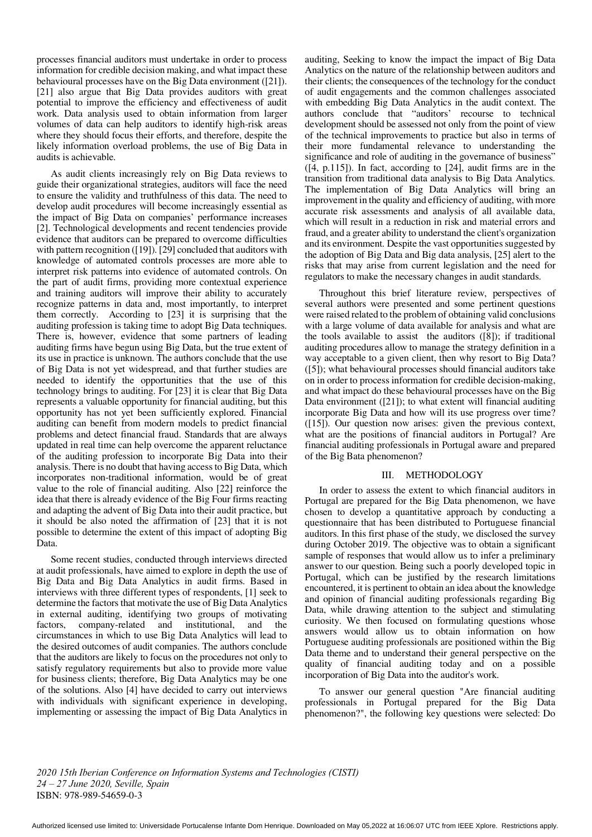processes financial auditors must undertake in order to process information for credible decision making, and what impact these behavioural processes have on the Big Data environment ([21]). [21] also argue that Big Data provides auditors with great potential to improve the efficiency and effectiveness of audit work. Data analysis used to obtain information from larger volumes of data can help auditors to identify high-risk areas where they should focus their efforts, and therefore, despite the likely information overload problems, the use of Big Data in audits is achievable.

As audit clients increasingly rely on Big Data reviews to guide their organizational strategies, auditors will face the need to ensure the validity and truthfulness of this data. The need to develop audit procedures will become increasingly essential as the impact of Big Data on companies' performance increases [2]. Technological developments and recent tendencies provide evidence that auditors can be prepared to overcome difficulties with pattern recognition ([19]). [29] concluded that auditors with knowledge of automated controls processes are more able to interpret risk patterns into evidence of automated controls. On the part of audit firms, providing more contextual experience and training auditors will improve their ability to accurately recognize patterns in data and, most importantly, to interpret them correctly. According to [23] it is surprising that the auditing profession is taking time to adopt Big Data techniques. There is, however, evidence that some partners of leading auditing firms have begun using Big Data, but the true extent of its use in practice is unknown. The authors conclude that the use of Big Data is not yet widespread, and that further studies are needed to identify the opportunities that the use of this technology brings to auditing. For [23] it is clear that Big Data represents a valuable opportunity for financial auditing, but this opportunity has not yet been sufficiently explored. Financial auditing can benefit from modern models to predict financial problems and detect financial fraud. Standards that are always updated in real time can help overcome the apparent reluctance of the auditing profession to incorporate Big Data into their analysis. There is no doubt that having access to Big Data, which incorporates non-traditional information, would be of great value to the role of financial auditing. Also [22] reinforce the idea that there is already evidence of the Big Four firms reacting and adapting the advent of Big Data into their audit practice, but it should be also noted the affirmation of [23] that it is not possible to determine the extent of this impact of adopting Big Data.

Some recent studies, conducted through interviews directed at audit professionals, have aimed to explore in depth the use of Big Data and Big Data Analytics in audit firms. Based in interviews with three different types of respondents, [1] seek to determine the factors that motivate the use of Big Data Analytics in external auditing, identifying two groups of motivating factors, company-related and institutional, and the circumstances in which to use Big Data Analytics will lead to the desired outcomes of audit companies. The authors conclude that the auditors are likely to focus on the procedures not only to satisfy regulatory requirements but also to provide more value for business clients; therefore, Big Data Analytics may be one of the solutions. Also [4] have decided to carry out interviews with individuals with significant experience in developing, implementing or assessing the impact of Big Data Analytics in auditing, Seeking to know the impact the impact of Big Data Analytics on the nature of the relationship between auditors and their clients; the consequences of the technology for the conduct of audit engagements and the common challenges associated with embedding Big Data Analytics in the audit context. The authors conclude that "auditors' recourse to technical development should be assessed not only from the point of view of the technical improvements to practice but also in terms of their more fundamental relevance to understanding the significance and role of auditing in the governance of business" ([4, p.115]). In fact, according to [24], audit firms are in the transition from traditional data analysis to Big Data Analytics. The implementation of Big Data Analytics will bring an improvement in the quality and efficiency of auditing, with more accurate risk assessments and analysis of all available data, which will result in a reduction in risk and material errors and fraud, and a greater ability to understand the client's organization and its environment. Despite the vast opportunities suggested by the adoption of Big Data and Big data analysis, [25] alert to the risks that may arise from current legislation and the need for regulators to make the necessary changes in audit standards.

Throughout this brief literature review, perspectives of several authors were presented and some pertinent questions were raised related to the problem of obtaining valid conclusions with a large volume of data available for analysis and what are the tools available to assist the auditors ([8]); if traditional auditing procedures allow to manage the strategy definition in a way acceptable to a given client, then why resort to Big Data? ([5]); what behavioural processes should financial auditors take on in order to process information for credible decision-making, and what impact do these behavioural processes have on the Big Data environment ([21]); to what extent will financial auditing incorporate Big Data and how will its use progress over time? ([15]). Our question now arises: given the previous context, what are the positions of financial auditors in Portugal? Are financial auditing professionals in Portugal aware and prepared of the Big Bata phenomenon?

## III. METHODOLOGY

In order to assess the extent to which financial auditors in Portugal are prepared for the Big Data phenomenon, we have chosen to develop a quantitative approach by conducting a questionnaire that has been distributed to Portuguese financial auditors. In this first phase of the study, we disclosed the survey during October 2019. The objective was to obtain a significant sample of responses that would allow us to infer a preliminary answer to our question. Being such a poorly developed topic in Portugal, which can be justified by the research limitations encountered, it is pertinent to obtain an idea about the knowledge and opinion of financial auditing professionals regarding Big Data, while drawing attention to the subject and stimulating curiosity. We then focused on formulating questions whose answers would allow us to obtain information on how Portuguese auditing professionals are positioned within the Big Data theme and to understand their general perspective on the quality of financial auditing today and on a possible incorporation of Big Data into the auditor's work.

To answer our general question "Are financial auditing professionals in Portugal prepared for the Big Data phenomenon?", the following key questions were selected: Do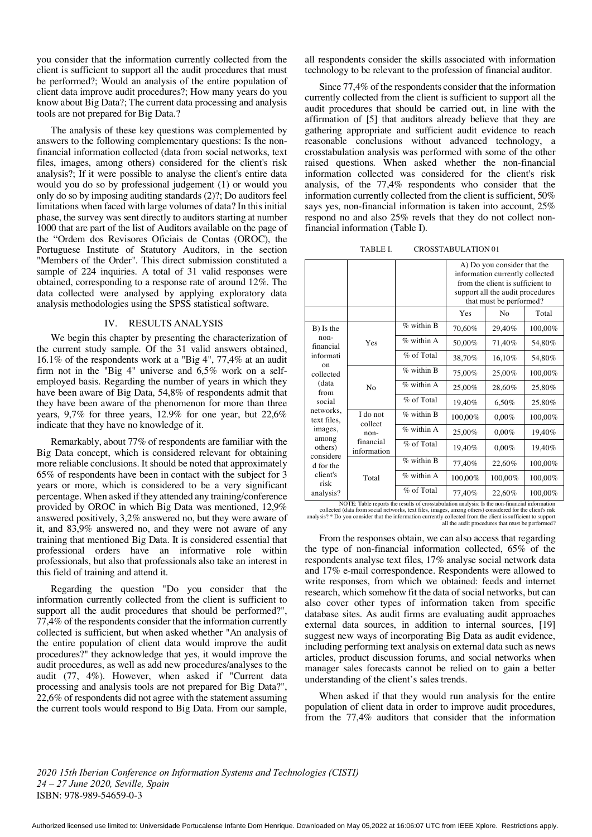you consider that the information currently collected from the client is sufficient to support all the audit procedures that must be performed?; Would an analysis of the entire population of client data improve audit procedures?; How many years do you know about Big Data?; The current data processing and analysis tools are not prepared for Big Data.?

The analysis of these key questions was complemented by answers to the following complementary questions: Is the nonfinancial information collected (data from social networks, text files, images, among others) considered for the client's risk analysis?; If it were possible to analyse the client's entire data would you do so by professional judgement (1) or would you only do so by imposing auditing standards (2)?; Do auditors feel limitations when faced with large volumes of data? In this initial phase, the survey was sent directly to auditors starting at number 1000 that are part of the list of Auditors available on the page of the "Ordem dos Revisores Oficiais de Contas (OROC), the Portuguese Institute of Statutory Auditors, in the section "Members of the Order". This direct submission constituted a sample of 224 inquiries. A total of 31 valid responses were obtained, corresponding to a response rate of around 12%. The data collected were analysed by applying exploratory data analysis methodologies using the SPSS statistical software.

## IV. RESULTS ANALYSIS

We begin this chapter by presenting the characterization of the current study sample. Of the 31 valid answers obtained, 16.1% of the respondents work at a "Big 4", 77,4% at an audit firm not in the "Big 4" universe and 6,5% work on a selfemployed basis. Regarding the number of years in which they have been aware of Big Data, 54,8% of respondents admit that they have been aware of the phenomenon for more than three years, 9,7% for three years, 12.9% for one year, but 22,6% indicate that they have no knowledge of it.

Remarkably, about 77% of respondents are familiar with the Big Data concept, which is considered relevant for obtaining more reliable conclusions. It should be noted that approximately 65% of respondents have been in contact with the subject for 3 years or more, which is considered to be a very significant percentage. When asked if they attended any training/conference provided by OROC in which Big Data was mentioned, 12,9% answered positively, 3,2% answered no, but they were aware of it, and 83,9% answered no, and they were not aware of any training that mentioned Big Data. It is considered essential that professional orders have an informative role within professionals, but also that professionals also take an interest in this field of training and attend it.

Regarding the question "Do you consider that the information currently collected from the client is sufficient to support all the audit procedures that should be performed?", 77,4% of the respondents consider that the information currently collected is sufficient, but when asked whether "An analysis of the entire population of client data would improve the audit procedures?" they acknowledge that yes, it would improve the audit procedures, as well as add new procedures/analyses to the audit (77, 4%). However, when asked if "Current data processing and analysis tools are not prepared for Big Data?", 22,6% of respondents did not agree with the statement assuming the current tools would respond to Big Data. From our sample,

all respondents consider the skills associated with information technology to be relevant to the profession of financial auditor.

Since 77,4% of the respondents consider that the information currently collected from the client is sufficient to support all the audit procedures that should be carried out, in line with the affirmation of [5] that auditors already believe that they are gathering appropriate and sufficient audit evidence to reach reasonable conclusions without advanced technology, a crosstabulation analysis was performed with some of the other raised questions. When asked whether the non-financial information collected was considered for the client's risk analysis, of the 77,4% respondents who consider that the information currently collected from the client is sufficient, 50% says yes, non-financial information is taken into account, 25% respond no and also 25% revels that they do not collect nonfinancial information (Table I).

| CROSSTABULATION 01<br>TABLE L |  |
|-------------------------------|--|
|-------------------------------|--|

|                                                                                                                    |                                                     |                | A) Do you consider that the<br>information currently collected<br>from the client is sufficient to<br>support all the audit procedures<br>that must be performed? |                |         |  |
|--------------------------------------------------------------------------------------------------------------------|-----------------------------------------------------|----------------|-------------------------------------------------------------------------------------------------------------------------------------------------------------------|----------------|---------|--|
|                                                                                                                    |                                                     |                | Yes                                                                                                                                                               | N <sub>0</sub> | Total   |  |
| B) Is the                                                                                                          |                                                     | $%$ within $B$ | 70,60%                                                                                                                                                            | 29,40%         | 100,00% |  |
| non-<br>financial                                                                                                  | Yes                                                 | % within A     | 50,00%                                                                                                                                                            | 71,40%         | 54,80%  |  |
| informati                                                                                                          |                                                     | % of Total     | 38,70%                                                                                                                                                            | 16,10%         | 54,80%  |  |
| $_{\rm on}$<br>collected                                                                                           | No                                                  | % within B     | 75,00%                                                                                                                                                            | 25,00%         | 100,00% |  |
| (data<br>from                                                                                                      |                                                     | $%$ within A   | 25,00%                                                                                                                                                            | 28,60%         | 25,80%  |  |
| social                                                                                                             |                                                     | % of Total     | 19,40%                                                                                                                                                            | 6,50%          | 25,80%  |  |
| networks.<br>I do not<br>text files,<br>collect<br>images,<br>non-<br>among<br>financial<br>others)<br>information |                                                     | % within B     | 100,00%                                                                                                                                                           | $0.00\%$       | 100,00% |  |
|                                                                                                                    |                                                     | $%$ within A   | 25,00%                                                                                                                                                            | $0.00\%$       | 19,40%  |  |
|                                                                                                                    |                                                     | % of Total     | 19,40%                                                                                                                                                            | $0.00\%$       | 19,40%  |  |
| d for the                                                                                                          | considere<br>client's<br>Total<br>risk<br>analysis? | % within B     | 77,40%                                                                                                                                                            | 22,60%         | 100,00% |  |
|                                                                                                                    |                                                     | $%$ within A   | 100,00%                                                                                                                                                           | 100,00%        | 100,00% |  |
|                                                                                                                    |                                                     | % of Total     | 77,40%                                                                                                                                                            | 22,60%         | 100,00% |  |

NOTE: Table reports the results of crosstabulation analysis: Is the non-financial information collected (data from social networks, text files, images, among others) considered for the client's risk analysis? \* Do you consider that the information currently collected from the client is sufficient to support all the audit procedures that must be performed?

From the responses obtain, we can also access that regarding the type of non-financial information collected, 65% of the respondents analyse text files, 17% analyse social network data and 17% e-mail correspondence. Respondents were allowed to write responses, from which we obtained: feeds and internet research, which somehow fit the data of social networks, but can also cover other types of information taken from specific database sites. As audit firms are evaluating audit approaches external data sources, in addition to internal sources, [19] suggest new ways of incorporating Big Data as audit evidence, including performing text analysis on external data such as news articles, product discussion forums, and social networks when manager sales forecasts cannot be relied on to gain a better understanding of the client's sales trends.

When asked if that they would run analysis for the entire population of client data in order to improve audit procedures, from the 77,4% auditors that consider that the information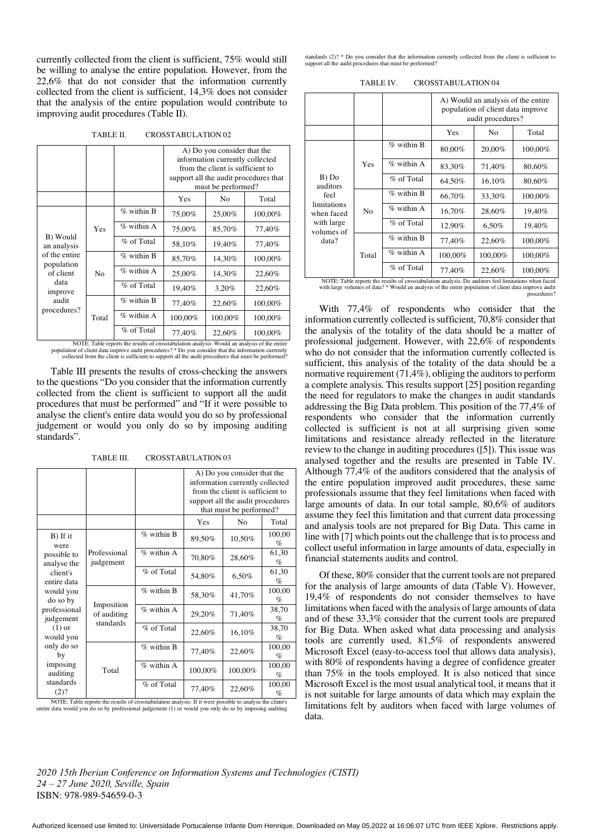currently collected from the client is sufficient, 75% would still be willing to analyse the entire population. However, from the 22,6% that do not consider that the information currently collected from the client is sufficient, 14,3% does not consider that the analysis of the entire population would contribute to improving audit procedures (Table II).

TABLE II. CROSSTABULATION 02

|                                         |       |              | A) Do you consider that the<br>information currently collected<br>from the client is sufficient to<br>support all the audit procedures that<br>must be performed? |                |         |
|-----------------------------------------|-------|--------------|-------------------------------------------------------------------------------------------------------------------------------------------------------------------|----------------|---------|
|                                         |       |              | Yes                                                                                                                                                               | N <sub>0</sub> | Total   |
|                                         |       | $%$ within B | 75,00%                                                                                                                                                            | 25,00%         | 100,00% |
|                                         | Yes   | $%$ within A | 75,00%                                                                                                                                                            | 85,70%         | 77,40%  |
| B) Would<br>an analysis                 |       | % of Total   | 58,10%                                                                                                                                                            | 19,40%         | 77,40%  |
| of the entire<br>population             |       | $%$ within B | 85,70%                                                                                                                                                            | 14,30%         | 100,00% |
| of client                               | No    | $%$ within A | 25,00%                                                                                                                                                            | 14,30%         | 22,60%  |
| data<br>improve<br>audit<br>procedures? |       | % of Total   | 19,40%                                                                                                                                                            | 3,20%          | 22,60%  |
|                                         | Total | % within B   | 77,40%                                                                                                                                                            | 22,60%         | 100,00% |
|                                         |       | % within A   | 100,00%                                                                                                                                                           | 100,00%        | 100,00% |
|                                         |       | % of Total   | 77,40%                                                                                                                                                            | 22,60%         | 100,00% |

NOTE: Table reports the results of crosstabulation analysis: Would an analysis of the entire population of client data improve audit procedures? \* Do you consider that the information currently collected from the client is sufficient to support all the audit procedures that must be performed?

Table III presents the results of cross-checking the answers to the questions "Do you consider that the information currently collected from the client is sufficient to support all the audit procedures that must be performed" and "If it were possible to analyse the client's entire data would you do so by professional judgement or would you only do so by imposing auditing standards".

TABLE III. CROSSTABULATION 03

|                            |                                                                                                          |              | A) Do you consider that the<br>information currently collected<br>from the client is sufficient to<br>support all the audit procedures<br>that must be performed? |                |                |  |
|----------------------------|----------------------------------------------------------------------------------------------------------|--------------|-------------------------------------------------------------------------------------------------------------------------------------------------------------------|----------------|----------------|--|
|                            |                                                                                                          |              | Yes                                                                                                                                                               | N <sub>0</sub> | Total          |  |
| B) If it<br>were           |                                                                                                          | $%$ within B | 89,50%                                                                                                                                                            | 10,50%         | 100,00<br>$\%$ |  |
| possible to<br>analyse the | Professional<br>judgement                                                                                | % within A   | 70,80%                                                                                                                                                            | 28,60%         | 61,30<br>$\%$  |  |
| client's<br>entire data    |                                                                                                          | % of Total   | 54,80%                                                                                                                                                            | 6,50%          | 61,30<br>%     |  |
| would you<br>do so by      |                                                                                                          | $%$ within B | 58,30%                                                                                                                                                            | 41,70%         | 100,00<br>%    |  |
| professional<br>judgement  | Imposition<br>of auditing<br>standards                                                                   | % within A   | 29,20%                                                                                                                                                            | 71,40%         | 38,70<br>%     |  |
| $(1)$ or<br>would you      |                                                                                                          | % of Total   | 22,60%                                                                                                                                                            | 16,10%         | 38,70<br>$\%$  |  |
| only do so<br>by           |                                                                                                          | % within B   | 77,40%                                                                                                                                                            | 22,60%         | 100,00<br>$\%$ |  |
| imposing<br>auditing       | Total                                                                                                    | % within A   | 100,00%                                                                                                                                                           | 100,00%        | 100,00<br>$\%$ |  |
| standards<br>(2)?          | NOTE: Table reports the results of crosstabulation analysis: If it were possible to analyse the client's | % of Total   | 77,40%                                                                                                                                                            | 22,60%         | 100,00<br>%    |  |

entire data would you do so by professional judgement (1) or would you only do so by imposing auditing

standards (2)? \* Do you consider that the information currently collected from the client is sufficient to support all the audit procedures that must be performed?

TABLE IV. CROSSTABULATION 04

|                                   |       |                                                                                                                | A) Would an analysis of the entire<br>population of client data improve<br>audit procedures? |         |                   |
|-----------------------------------|-------|----------------------------------------------------------------------------------------------------------------|----------------------------------------------------------------------------------------------|---------|-------------------|
|                                   |       |                                                                                                                | Total<br>Yes<br>No                                                                           |         |                   |
|                                   | Yes   | $%$ within B                                                                                                   | 80,00%                                                                                       | 20,00%  | 100,00%           |
|                                   |       | % within A                                                                                                     | 83,30%                                                                                       | 71,40%  | 80,60%            |
| $B)$ Do<br>auditors               |       | % of Total                                                                                                     | 64,50%                                                                                       | 16,10%  | 80,60%            |
| feel                              | No    | $%$ within B                                                                                                   | 66.70%                                                                                       | 33,30%  | 100.00%           |
| limitations<br>when faced         |       | % within A                                                                                                     | 16,70%                                                                                       | 28,60%  | 19,40%            |
| with large<br>volumes of<br>data? |       | % of Total                                                                                                     | 12,90%                                                                                       | 6,50%   | 19,40%<br>100,00% |
|                                   | Total | $%$ within B                                                                                                   | 77,40%                                                                                       | 22,60%  |                   |
|                                   |       | $%$ within A                                                                                                   | 100,00%                                                                                      | 100,00% | 100,00%           |
|                                   |       | % of Total<br>NOTE: Table reports the results of emergencies analysis: De auditors feel limitations when faced | 77,40%                                                                                       | 22,60%  | 100,00%           |

NOTE: Table reports the results of crosstabulation analysis: Do auditors feel limitations when faced with large volumes of data? \* Would an analysis of the entire population of client data improve audit procedures?

With 77,4% of respondents who consider that the information currently collected is sufficient, 70,8% consider that the analysis of the totality of the data should be a matter of professional judgement. However, with 22,6% of respondents who do not consider that the information currently collected is sufficient, this analysis of the totality of the data should be a normative requirement (71,4%), obliging the auditors to perform a complete analysis. This results support [25] position regarding the need for regulators to make the changes in audit standards addressing the Big Data problem. This position of the 77,4% of respondents who consider that the information currently collected is sufficient is not at all surprising given some limitations and resistance already reflected in the literature review to the change in auditing procedures ([5]). This issue was analysed together and the results are presented in Table IV. Although 77,4% of the auditors considered that the analysis of the entire population improved audit procedures, these same professionals assume that they feel limitations when faced with large amounts of data. In our total sample, 80,6% of auditors assume they feel this limitation and that current data processing and analysis tools are not prepared for Big Data. This came in line with [7] which points out the challenge that is to process and collect useful information in large amounts of data, especially in financial statements audits and control.

Of these, 80% consider that the current tools are not prepared for the analysis of large amounts of data (Table V). However, 19,4% of respondents do not consider themselves to have limitations when faced with the analysis of large amounts of data and of these 33,3% consider that the current tools are prepared for Big Data. When asked what data processing and analysis tools are currently used, 81,5% of respondents answered Microsoft Excel (easy-to-access tool that allows data analysis), with 80% of respondents having a degree of confidence greater than 75% in the tools employed. It is also noticed that since Microsoft Excel is the most usual analytical tool, it means that it is not suitable for large amounts of data which may explain the limitations felt by auditors when faced with large volumes of data.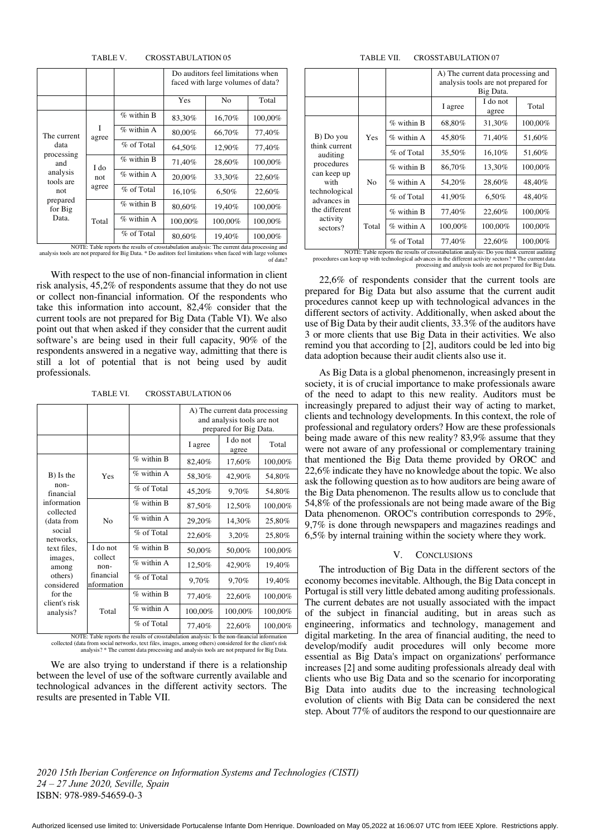#### TABLE V. CROSSTABULATION 05

|                                                                                           |            |              | Do auditors feel limitations when<br>faced with large volumes of data? |         |                   |  |
|-------------------------------------------------------------------------------------------|------------|--------------|------------------------------------------------------------------------|---------|-------------------|--|
|                                                                                           |            |              | Yes                                                                    | No      | Total             |  |
|                                                                                           | T<br>agree | $%$ within B | 83,30%                                                                 | 16,70%  | 100,00%           |  |
| The current                                                                               |            | $%$ within A | 80,00%                                                                 | 66,70%  | 77,40%            |  |
| data<br>processing<br>and<br>analysis<br>tools are<br>not<br>prepared<br>for Big<br>Data. |            | % of Total   | 64,50%                                                                 | 12,90%  | 77,40%            |  |
|                                                                                           | I do       | $%$ within B | 71,40%                                                                 | 28,60%  | 100.00%           |  |
|                                                                                           | not        | $%$ within A | 20.00%                                                                 | 33.30%  | 22.60%            |  |
|                                                                                           | agree      | % of Total   | 16,10%                                                                 | 6.50%   | 22,60%<br>100,00% |  |
|                                                                                           | Total      | $%$ within B | 80,60%                                                                 | 19,40%  |                   |  |
|                                                                                           |            | % within A   | 100,00%                                                                | 100.00% | 100.00%           |  |
|                                                                                           |            | % of Total   | 80,60%                                                                 | 19,40%  | 100,00%           |  |

NOTE: Table reports the results of crosstabulation analysis: The current data processing and analysis tools are not prepared for Big Data. \* Do auditors feel limitations when faced with large volumes of data?

With respect to the use of non-financial information in client risk analysis, 45,2% of respondents assume that they do not use or collect non-financial information. Of the respondents who take this information into account, 82,4% consider that the current tools are not prepared for Big Data (Table VI). We also point out that when asked if they consider that the current audit software's are being used in their full capacity, 90% of the respondents answered in a negative way, admitting that there is still a lot of potential that is not being used by audit professionals.

TABLE VI. CROSSTABULATION 06

|                                           |                         |               | A) The current data processing<br>and analysis tools are not<br>prepared for Big Data. |         |         |
|-------------------------------------------|-------------------------|---------------|----------------------------------------------------------------------------------------|---------|---------|
|                                           |                         |               | I do not<br>I agree<br>agree                                                           |         | Total   |
|                                           |                         | $%$ within B  | 82,40%                                                                                 | 17,60%  | 100,00% |
| B) Is the                                 | Yes                     | % within A    | 58,30%                                                                                 | 42,90%  | 54,80%  |
| $non-$<br>financial                       |                         | % of Total    | 45,20%                                                                                 | 9,70%   | 54,80%  |
| information<br>collected                  |                         | % within B    | 87,50%                                                                                 | 12,50%  | 100,00% |
| (data from                                | No                      | $\%$ within A | 29,20%                                                                                 | 14,30%  | 25,80%  |
| social<br>networks,                       |                         | % of Total    | 22,60%                                                                                 | 3,20%   | 25,80%  |
| text files.                               | I do not<br>collect     | % within B    | 50,00%                                                                                 | 50,00%  | 100,00% |
| images,<br>among<br>others)<br>considered | $non-$                  | % within A    | 12,50%                                                                                 | 42,90%  | 19,40%  |
|                                           | financial<br>nformation | % of Total    | 9,70%                                                                                  | 9,70%   | 19,40%  |
| for the<br>client's risk                  |                         | % within B    | 77,40%                                                                                 | 22,60%  | 100,00% |
| analysis?                                 | Total                   | % within A    | 100,00%                                                                                | 100,00% | 100,00% |
|                                           |                         | % of Total    | 77,40%                                                                                 | 22,60%  | 100,00% |

NOTE: Table reports the results of crosstabulation analysis: Is the non-financial information collected (data from social networks, text files, images, among others) considered for the client's risk analysis? \* The current data processing and analysis tools are not prepared for Big Data.

We are also trying to understand if there is a relationship between the level of use of the software currently available and technological advances in the different activity sectors. The results are presented in Table VII.

#### TABLE VII. CROSSTABULATION 07

|                                                                                            |       |            | A) The current data processing and<br>analysis tools are not prepared for<br>Big Data. |         |         |  |
|--------------------------------------------------------------------------------------------|-------|------------|----------------------------------------------------------------------------------------|---------|---------|--|
|                                                                                            |       |            | I do not<br>Total<br>I agree<br>agree                                                  |         |         |  |
|                                                                                            |       | % within B | 68,80%                                                                                 | 31,30%  | 100,00% |  |
| B) Do you                                                                                  | Yes   | % within A | 45,80%                                                                                 | 71,40%  | 51,60%  |  |
| think current<br>auditing                                                                  |       | % of Total | 35,50%                                                                                 | 16,10%  | 51,60%  |  |
| procedures<br>can keep up                                                                  | No    | % within B | 86,70%                                                                                 | 13,30%  | 100,00% |  |
| with                                                                                       |       | % within A | 54,20%                                                                                 | 28,60%  | 48,40%  |  |
| technological<br>advances in<br>the different<br>activity<br>sectors?                      |       | % of Total | 41,90%                                                                                 | 6,50%   | 48,40%  |  |
|                                                                                            | Total | % within B | 77,40%                                                                                 | 22,60%  | 100,00% |  |
|                                                                                            |       | % within A | 100,00%                                                                                | 100,00% | 100,00% |  |
|                                                                                            |       | % of Total | 77,40%                                                                                 | 22,60%  | 100,00% |  |
| NOTE: Table reports the results of crosstabulation analysis: Do you think current auditing |       |            |                                                                                        |         |         |  |

procedures can keep up with technological advances in the different activity sectors? \* The current data processing and analysis tools are not prepared for Big Data.

22,6% of respondents consider that the current tools are prepared for Big Data but also assume that the current audit procedures cannot keep up with technological advances in the different sectors of activity. Additionally, when asked about the use of Big Data by their audit clients, 33.3% of the auditors have 3 or more clients that use Big Data in their activities. We also remind you that according to [2], auditors could be led into big data adoption because their audit clients also use it.

As Big Data is a global phenomenon, increasingly present in society, it is of crucial importance to make professionals aware of the need to adapt to this new reality. Auditors must be increasingly prepared to adjust their way of acting to market, clients and technology developments. In this context, the role of professional and regulatory orders? How are these professionals being made aware of this new reality? 83,9% assume that they were not aware of any professional or complementary training that mentioned the Big Data theme provided by OROC and 22,6% indicate they have no knowledge about the topic. We also ask the following question as to how auditors are being aware of the Big Data phenomenon. The results allow us to conclude that 54,8% of the professionals are not being made aware of the Big Data phenomenon. OROC's contribution corresponds to 29%, 9,7% is done through newspapers and magazines readings and 6,5% by internal training within the society where they work.

## V. CONCLUSIONS

The introduction of Big Data in the different sectors of the economy becomes inevitable. Although, the Big Data concept in Portugal is still very little debated among auditing professionals. The current debates are not usually associated with the impact of the subject in financial auditing, but in areas such as engineering, informatics and technology, management and digital marketing. In the area of financial auditing, the need to develop/modify audit procedures will only become more essential as Big Data's impact on organizations' performance increases [2] and some auditing professionals already deal with clients who use Big Data and so the scenario for incorporating Big Data into audits due to the increasing technological evolution of clients with Big Data can be considered the next step. About 77% of auditors the respond to our questionnaire are

Authorized licensed use limited to: Universidade Portucalense Infante Dom Henrique. Downloaded on May 05,2022 at 16:06:07 UTC from IEEE Xplore. Restrictions apply.